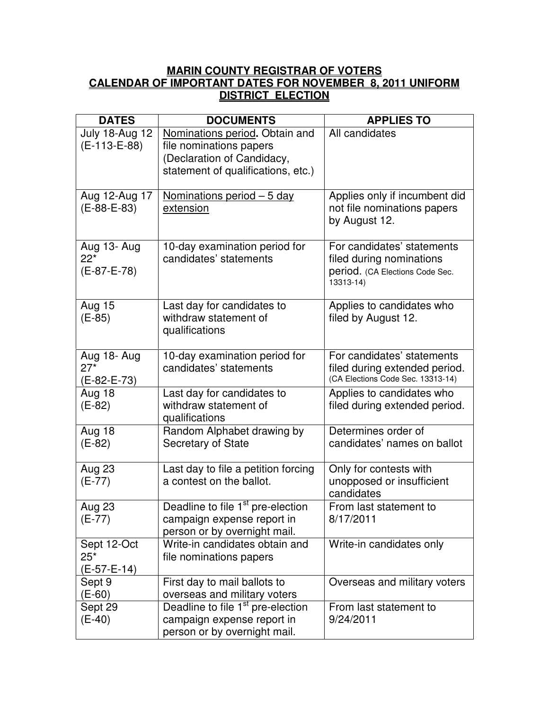## **MARIN COUNTY REGISTRAR OF VOTERS CALENDAR OF IMPORTANT DATES FOR NOVEMBER 8, 2011 UNIFORM DISTRICT ELECTION**

| <b>DATES</b>                          | <b>DOCUMENTS</b>                                                                                                              | <b>APPLIES TO</b>                                                                                      |
|---------------------------------------|-------------------------------------------------------------------------------------------------------------------------------|--------------------------------------------------------------------------------------------------------|
| <b>July 18-Aug 12</b><br>(E-113-E-88) | Nominations period. Obtain and<br>file nominations papers<br>(Declaration of Candidacy,<br>statement of qualifications, etc.) | All candidates                                                                                         |
| Aug 12-Aug 17<br>$(E-88-E-83)$        | <u>Nominations period – 5 day</u><br>extension                                                                                | Applies only if incumbent did<br>not file nominations papers<br>by August 12.                          |
| Aug 13- Aug<br>$22*$<br>(E-87-E-78)   | 10-day examination period for<br>candidates' statements                                                                       | For candidates' statements<br>filed during nominations<br>period. (CA Elections Code Sec.<br>13313-14) |
| <b>Aug 15</b><br>$(E-85)$             | Last day for candidates to<br>withdraw statement of<br>qualifications                                                         | Applies to candidates who<br>filed by August 12.                                                       |
| Aug 18- Aug<br>$27*$<br>(E-82-E-73)   | 10-day examination period for<br>candidates' statements                                                                       | For candidates' statements<br>filed during extended period.<br>(CA Elections Code Sec. 13313-14)       |
| <b>Aug 18</b><br>$(E-82)$             | Last day for candidates to<br>withdraw statement of<br>qualifications                                                         | Applies to candidates who<br>filed during extended period.                                             |
| Aug 18<br>$(E-82)$                    | Random Alphabet drawing by<br><b>Secretary of State</b>                                                                       | Determines order of<br>candidates' names on ballot                                                     |
| Aug 23<br>$(E-77)$                    | Last day to file a petition forcing<br>a contest on the ballot.                                                               | Only for contests with<br>unopposed or insufficient<br>candidates                                      |
| <b>Aug 23</b><br>$(E-77)$             | Deadline to file 1 <sup>st</sup> pre-election<br>campaign expense report in<br>person or by overnight mail.                   | From last statement to<br>8/17/2011                                                                    |
| Sept 12-Oct<br>$25*$<br>(E-57-E-14)   | Write-in candidates obtain and<br>file nominations papers                                                                     | Write-in candidates only                                                                               |
| Sept 9<br>$(E-60)$                    | First day to mail ballots to<br>overseas and military voters                                                                  | Overseas and military voters                                                                           |
| Sept 29<br>$(E-40)$                   | Deadline to file 1 <sup>st</sup> pre-election<br>campaign expense report in<br>person or by overnight mail.                   | From last statement to<br>9/24/2011                                                                    |